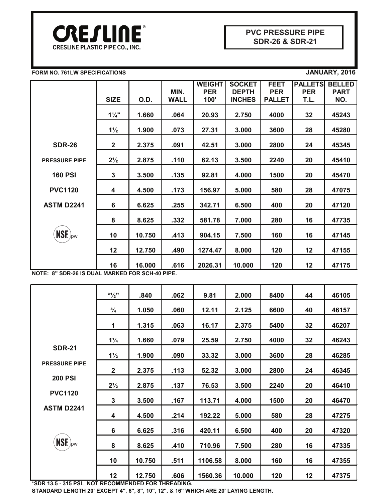

### **FORM NO. 761LW SPECIFICATIONS JANUARY, 2016**

|                      |                |        |             | <b>WEIGHT</b> | <b>SOCKET</b> | <b>FEET</b>   | <b>PALLETS</b> | <b>BELLED</b> |
|----------------------|----------------|--------|-------------|---------------|---------------|---------------|----------------|---------------|
|                      |                |        | MIN.        | <b>PER</b>    | <b>DEPTH</b>  | <b>PER</b>    | <b>PER</b>     | <b>PART</b>   |
|                      | <b>SIZE</b>    | O.D.   | <b>WALL</b> | 100'          | <b>INCHES</b> | <b>PALLET</b> | T.L.           | NO.           |
|                      | $1\frac{1}{4}$ | 1.660  | .064        | 20.93         | 2.750         | 4000          | 32             | 45243         |
|                      | $1\frac{1}{2}$ | 1.900  | .073        | 27.31         | 3.000         | 3600          | 28             | 45280         |
| <b>SDR-26</b>        | $\mathbf{2}$   | 2.375  | .091        | 42.51         | 3.000         | 2800          | 24             | 45345         |
| <b>PRESSURE PIPE</b> | $2\frac{1}{2}$ | 2.875  | .110        | 62.13         | 3.500         | 2240          | 20             | 45410         |
| <b>160 PSI</b>       | $\mathbf{3}$   | 3.500  | .135        | 92.81         | 4.000         | 1500          | 20             | 45470         |
| <b>PVC1120</b>       | 4              | 4.500  | .173        | 156.97        | 5.000         | 580           | 28             | 47075         |
| <b>ASTM D2241</b>    | 6              | 6.625  | .255        | 342.71        | 6.500         | 400           | 20             | 47120         |
|                      | 8              | 8.625  | .332        | 581.78        | 7.000         | 280           | 16             | 47735         |
| $NSF_{\text{pw}}$    | 10             | 10.750 | .413        | 904.15        | 7.500         | 160           | 16             | 47145         |
|                      | 12             | 12.750 | .490        | 1274.47       | 8.000         | 120           | 12             | 47155         |
|                      | 16             | 16.000 | .616        | 2026.31       | 10.000        | 120           | 12             | 47175         |

**NOTE: 8" SDR-26 IS DUAL MARKED FOR SCH-40 PIPE.**

|                      | $*1/2$ "       | .840   | .062 | 9.81    | 2.000  | 8400 | 44 | 46105 |
|----------------------|----------------|--------|------|---------|--------|------|----|-------|
|                      | $\frac{3}{4}$  | 1.050  | .060 | 12.11   | 2.125  | 6600 | 40 | 46157 |
|                      | 1              | 1.315  | .063 | 16.17   | 2.375  | 5400 | 32 | 46207 |
|                      | $1\frac{1}{4}$ | 1.660  | .079 | 25.59   | 2.750  | 4000 | 32 | 46243 |
| <b>SDR-21</b>        | $1\frac{1}{2}$ | 1.900  | .090 | 33.32   | 3.000  | 3600 | 28 | 46285 |
| <b>PRESSURE PIPE</b> | $\mathbf 2$    | 2.375  | .113 | 52.32   | 3.000  | 2800 | 24 | 46345 |
| <b>200 PSI</b>       | $2\frac{1}{2}$ | 2.875  | .137 | 76.53   | 3.500  | 2240 | 20 | 46410 |
| <b>PVC1120</b>       |                |        |      |         |        |      |    |       |
|                      | 3              | 3.500  | .167 | 113.71  | 4.000  | 1500 | 20 | 46470 |
| <b>ASTM D2241</b>    | 4              | 4.500  | .214 | 192.22  | 5.000  | 580  | 28 | 47275 |
|                      | 6              | 6.625  | .316 | 420.11  | 6.500  | 400  | 20 | 47320 |
| $NSF_{\text{pw}}$    | 8              | 8.625  | .410 | 710.96  | 7.500  | 280  | 16 | 47335 |
|                      | 10             | 10.750 | .511 | 1106.58 | 8.000  | 160  | 16 | 47355 |
|                      | 12             | 12.750 | .606 | 1560.36 | 10.000 | 120  | 12 | 47375 |

**\*SDR 13.5 - 315 PSI. NOT RECOMMENDED FOR THREADING.**

**STANDARD LENGTH 20' EXCEPT 4", 6", 8", 10", 12", & 16" WHICH ARE 20' LAYING LENGTH.**